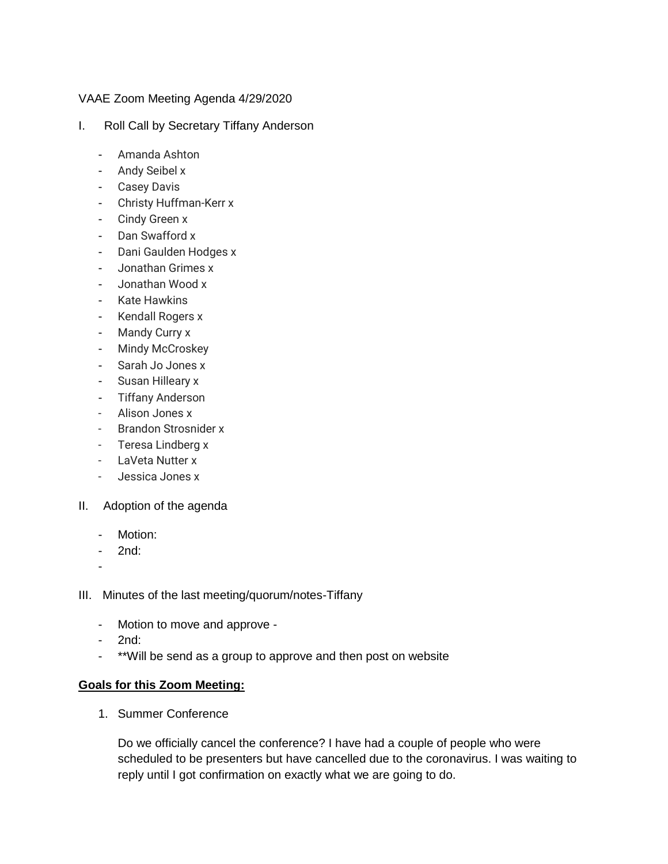## VAAE Zoom Meeting Agenda 4/29/2020

- I. Roll Call by Secretary Tiffany Anderson
	- Amanda Ashton
	- Andy Seibel x
	- Casey Davis
	- Christy Huffman-Kerr x
	- Cindy Green x
	- Dan Swafford x
	- Dani Gaulden Hodges x
	- Jonathan Grimes x
	- Jonathan Wood x
	- Kate Hawkins
	- Kendall Rogers x
	- Mandy Curry x
	- Mindy McCroskey
	- Sarah Jo Jones x
	- Susan Hilleary x
	- Tiffany Anderson
	- Alison Jones x
	- Brandon Strosnider x
	- Teresa Lindberg x
	- LaVeta Nutter x
	- Jessica Jones x
- II. Adoption of the agenda
	- Motion:
	- 2nd:
	- -
- III. Minutes of the last meeting/quorum/notes-Tiffany
	- Motion to move and approve -
	- 2nd:
	- \*\*Will be send as a group to approve and then post on website

## **Goals for this Zoom Meeting:**

1. Summer Conference

Do we officially cancel the conference? I have had a couple of people who were scheduled to be presenters but have cancelled due to the coronavirus. I was waiting to reply until I got confirmation on exactly what we are going to do.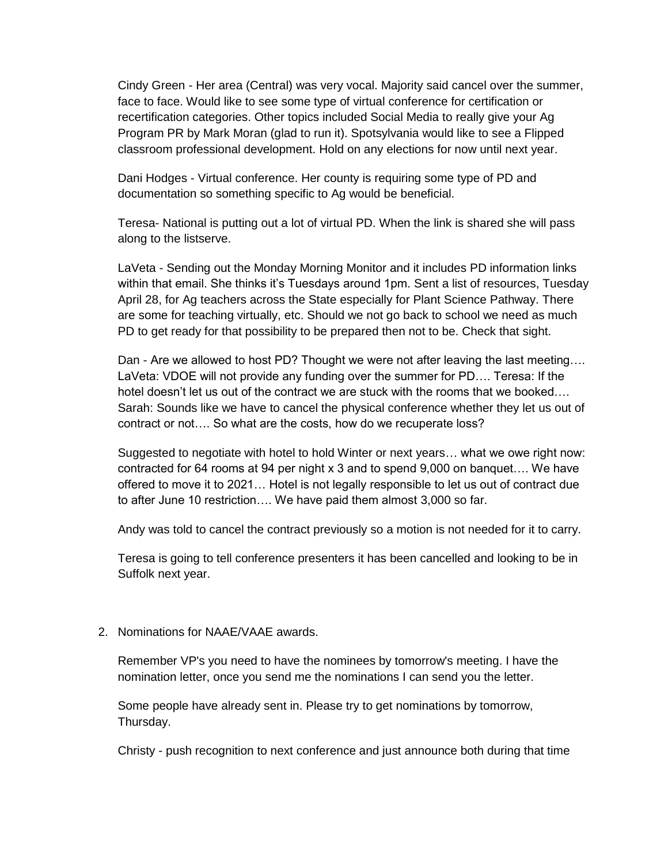Cindy Green - Her area (Central) was very vocal. Majority said cancel over the summer, face to face. Would like to see some type of virtual conference for certification or recertification categories. Other topics included Social Media to really give your Ag Program PR by Mark Moran (glad to run it). Spotsylvania would like to see a Flipped classroom professional development. Hold on any elections for now until next year.

Dani Hodges - Virtual conference. Her county is requiring some type of PD and documentation so something specific to Ag would be beneficial.

Teresa- National is putting out a lot of virtual PD. When the link is shared she will pass along to the listserve.

LaVeta - Sending out the Monday Morning Monitor and it includes PD information links within that email. She thinks it's Tuesdays around 1pm. Sent a list of resources, Tuesday April 28, for Ag teachers across the State especially for Plant Science Pathway. There are some for teaching virtually, etc. Should we not go back to school we need as much PD to get ready for that possibility to be prepared then not to be. Check that sight.

Dan - Are we allowed to host PD? Thought we were not after leaving the last meeting…. LaVeta: VDOE will not provide any funding over the summer for PD…. Teresa: If the hotel doesn't let us out of the contract we are stuck with the rooms that we booked…. Sarah: Sounds like we have to cancel the physical conference whether they let us out of contract or not…. So what are the costs, how do we recuperate loss?

Suggested to negotiate with hotel to hold Winter or next years… what we owe right now: contracted for 64 rooms at 94 per night x 3 and to spend 9,000 on banquet…. We have offered to move it to 2021… Hotel is not legally responsible to let us out of contract due to after June 10 restriction…. We have paid them almost 3,000 so far.

Andy was told to cancel the contract previously so a motion is not needed for it to carry.

Teresa is going to tell conference presenters it has been cancelled and looking to be in Suffolk next year.

## 2. Nominations for NAAE/VAAE awards.

Remember VP's you need to have the nominees by tomorrow's meeting. I have the nomination letter, once you send me the nominations I can send you the letter.

Some people have already sent in. Please try to get nominations by tomorrow, Thursday.

Christy - push recognition to next conference and just announce both during that time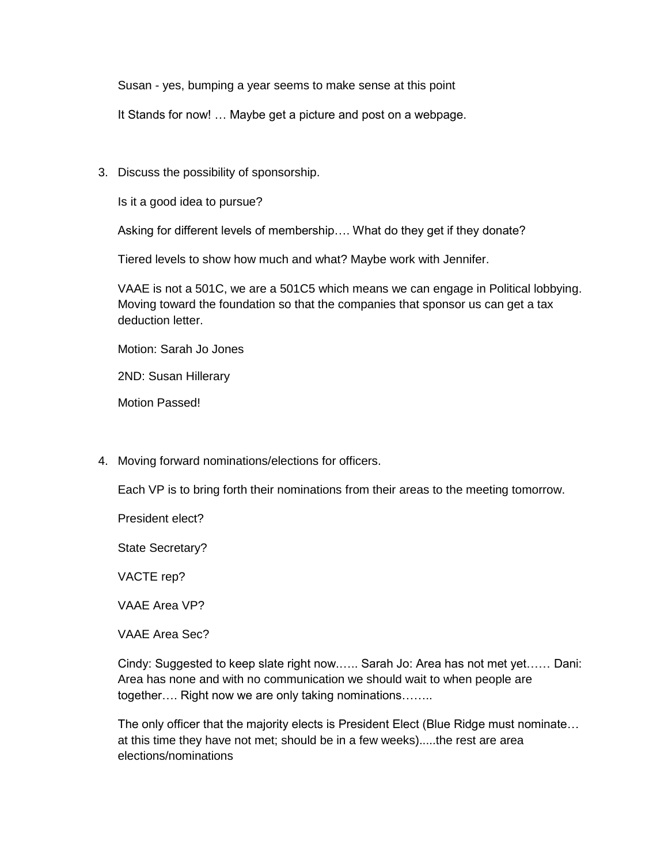Susan - yes, bumping a year seems to make sense at this point

It Stands for now! … Maybe get a picture and post on a webpage.

3. Discuss the possibility of sponsorship.

Is it a good idea to pursue?

Asking for different levels of membership…. What do they get if they donate?

Tiered levels to show how much and what? Maybe work with Jennifer.

VAAE is not a 501C, we are a 501C5 which means we can engage in Political lobbying. Moving toward the foundation so that the companies that sponsor us can get a tax deduction letter.

Motion: Sarah Jo Jones

2ND: Susan Hillerary

Motion Passed!

4. Moving forward nominations/elections for officers.

Each VP is to bring forth their nominations from their areas to the meeting tomorrow.

President elect?

State Secretary?

VACTE rep?

VAAE Area VP?

VAAE Area Sec?

Cindy: Suggested to keep slate right now.….. Sarah Jo: Area has not met yet…… Dani: Area has none and with no communication we should wait to when people are together…. Right now we are only taking nominations……..

The only officer that the majority elects is President Elect (Blue Ridge must nominate... at this time they have not met; should be in a few weeks).....the rest are area elections/nominations